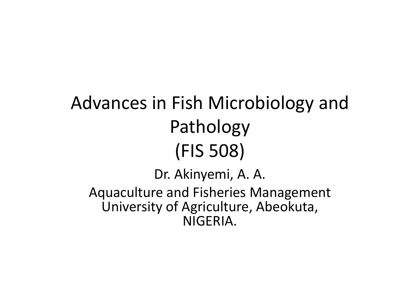### Advances in Fish Microbiology and Pathology(FIS 508)Dr. Akinyemi, A. A.Aquaculture and Fisheries Management

University of Agriculture, Abeokuta, NIGERIA.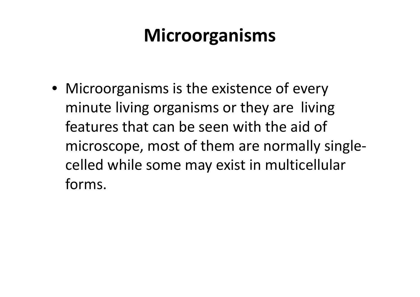#### **Microorganisms**

• Microorganisms is the existence of every minute living organisms or they are living features that can be seen with the aid of microscope, most of them are normally singlecelled while some may exist in multicellular forms.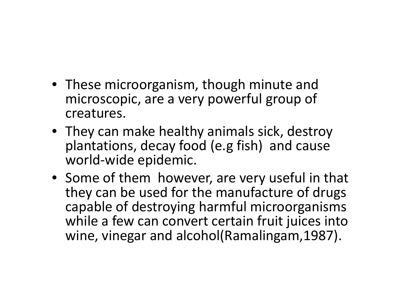- These microorganism, though minute and microscopic, are a very powerful group of creatures.
- They can make healthy animals sick, destroy plantations, decay food (e.g fish) and cause world-wide epidemic.
- Some of them however, are very useful in that they can be used for the manufacture of drugs capable of destroying harmful microorganisms while a few can convert certain fruit juices into wine, vinegar and alcohol(Ramalingam,1987).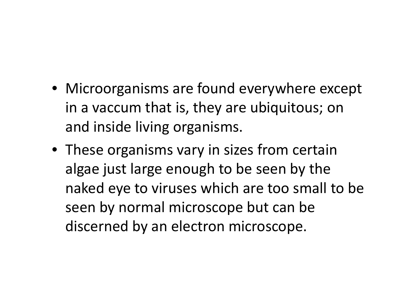- Microorganisms are found everywhere except in a vaccum that is, they are ubiquitous; on and inside living organisms.
- These organisms vary in sizes from certain algae just large enough to be seen by the naked eye to viruses which are too small to be seen by normal microscope but can be discerned by an electron microscope.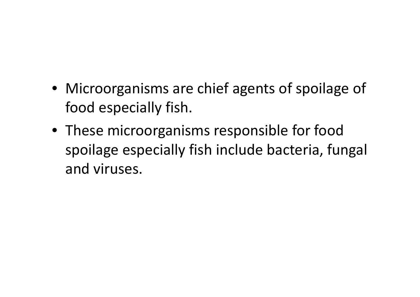- Microorganisms are chief agents of spoilage of food especially fish.
- These microorganisms responsible for food spoilage especially fish include bacteria, fungal and viruses.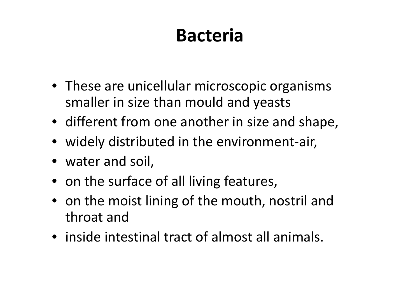### **Bacteria**

- These are unicellular microscopic organisms smaller in size than mould and yeasts
- different from one another in size and shape,
- widely distributed in the environment-air,
- water and soil,
- on the surface of all living features,
- on the moist lining of the mouth, nostril and throat and
- inside intestinal tract of almost all animals.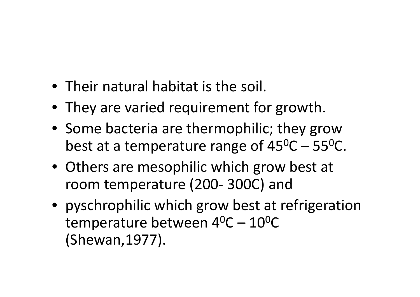- Their natural habitat is the soil.
- They are varied requirement for growth.
- Some bacteria are thermophilic; they grow best at a temperature range of 45 $^{\rm o}$ C – 55 $^{\rm o}$ C.
- Others are mesophilic which grow best at room temperature (200- 300C) and
- pyschrophilic which grow best at refrigeration temperature between  $4^0C - 10^0C$ (Shewan,1977).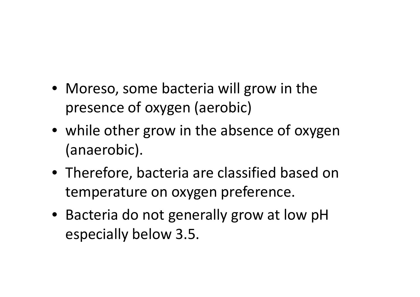- Moreso, some bacteria will grow in the presence of oxygen (aerobic)
- while other grow in the absence of oxygen (anaerobic).
- Therefore, bacteria are classified based on temperature on oxygen preference.
- Bacteria do not generally grow at low pH especially below 3.5.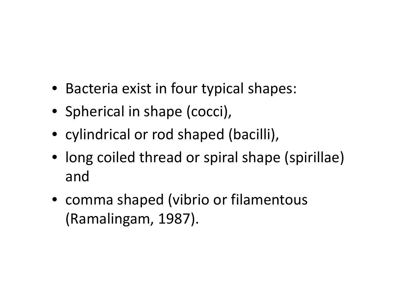- Bacteria exist in four typical shapes:
- Spherical in shape (cocci),
- cylindrical or rod shaped (bacilli),
- long coiled thread or spiral shape (spirillae) and
- comma shaped (vibrio or filamentous (Ramalingam, 1987).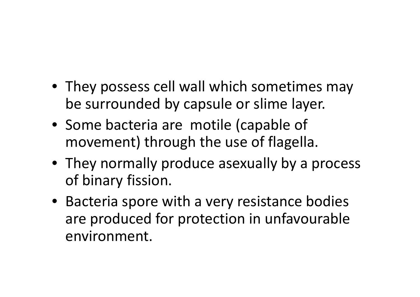- They possess cell wall which sometimes may be surrounded by capsule or slime layer.
- Some bacteria are motile (capable of movement) through the use of flagella.
- They normally produce asexually by a process of binary fission.
- Bacteria spore with a very resistance bodies are produced for protection in unfavourableenvironment.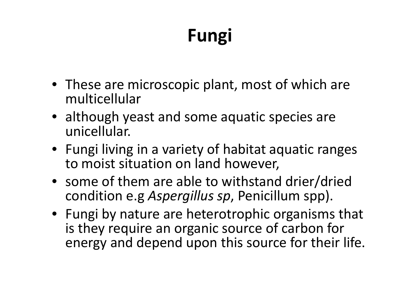## **Fungi**

- These are microscopic plant, most of which are multicellular
- although yeast and some aquatic species are unicellular.
- Fungi living in a variety of habitat aquatic rangesto moist situation on land however,
- some of them are able to withstand drier/dried condition e.g *Aspergillus sp*, Penicillum spp).
- Fungi by nature are heterotrophic organisms that is they require an organic source of carbon for energy and depend upon this source for their life.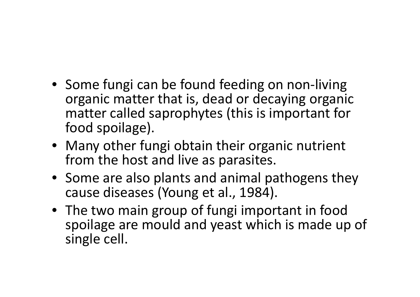- Some fungi can be found feeding on non-living organic matter that is, dead or decaying organic matter called saprophytes (this is important for food spoilage).
- Many other fungi obtain their organic nutrient from the host and live as parasites.
- Some are also plants and animal pathogens they cause diseases (Young et al., 1984).
- The two main group of fungi important in food spoilage are mould and yeast which is made up of single cell.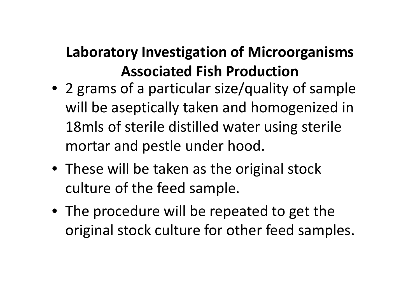#### **Laboratory Investigation of Microorganisms Associated Fish Production**

- 2 grams of a particular size/quality of sample will be aseptically taken and homogenized in 18mls of sterile distilled water using sterile mortar and pestle under hood.
- These will be taken as the original stock culture of the feed sample.
- The procedure will be repeated to get the original stock culture for other feed samples.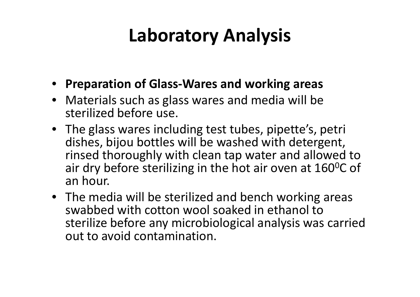#### **Laboratory Analysis**

- **Preparation of Glass-Wares and working areas**
- Materials such as glass wares and media will be sterilized before use.
- The glass wares including test tubes, pipette's, petri dishes, bijou bottles will be washed with detergent, rinsed thoroughly with clean tap water and allowed to air dry before sterilizing in the hot air oven at 160<sup>0</sup>C of an hour.
- The media will be sterilized and bench working areas swabbed with cotton wool soaked in ethanol to sterilize before any microbiological analysis was carried out to avoid contamination.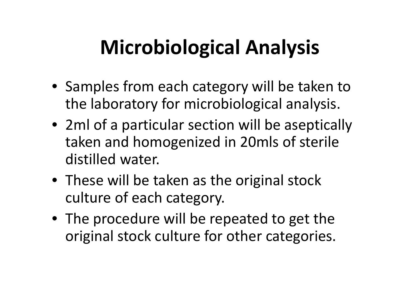# **Microbiological Analysis**

- Samples from each category will be taken to the laboratory for microbiological analysis.
- 2ml of a particular section will be aseptically taken and homogenized in 20mls of sterile distilled water.
- These will be taken as the original stock culture of each category.
- The procedure will be repeated to get the original stock culture for other categories.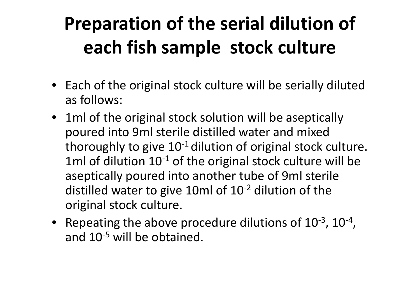## **Preparation of the serial dilution of each fish sample stock culture**

- Each of the original stock culture will be serially diluted as follows:
- 1ml of the original stock solution will be aseptically poured into 9ml sterile distilled water and mixed thoroughly to give  $10^{-1}$  dilution of original stock culture. 1ml of dilution  $10^{-1}$  of the original stock culture will be aseptically poured into another tube of 9ml sterile distilled water to give 10ml of 10-2 dilution of the original stock culture.
- Repeating the above procedure dilutions of  $10^{-3}$ ,  $10^{-4}$ , and 10<sup>-5</sup> will be obtained.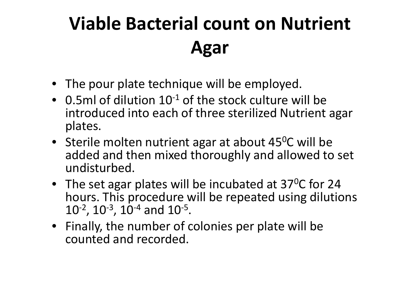### **Viable Bacterial count on Nutrient Agar**

- The pour plate technique will be employed.
- 0.5ml of dilution  $10^{-1}$  of the stock culture will be introduced into each of three sterilized Nutrient agar plates.
- Sterile molten nutrient agar at about 45<sup>o</sup>C will be added and then mixed thoroughly and allowed to set undisturbed.
- The set agar plates will be incubated at 37<sup>o</sup>C for 24 hours. This procedure will be repeated using dilutions 10-2, 10-3, 10-4 and 10-5.
- Finally, the number of colonies per plate will be counted and recorded.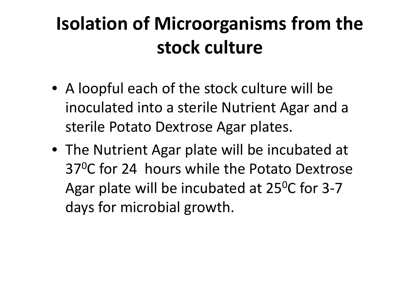### **Isolation of Microorganisms from the stock culture**

- A loopful each of the stock culture will be inoculated into a sterile Nutrient Agar and a sterile Potato Dextrose Agar plates.
- The Nutrient Agar plate will be incubated at 37<sup>0</sup>C for 24 hours while the Potato Dextrose Agar plate will be incubated at 25<sup>0</sup>C for 3-7 days for microbial growth.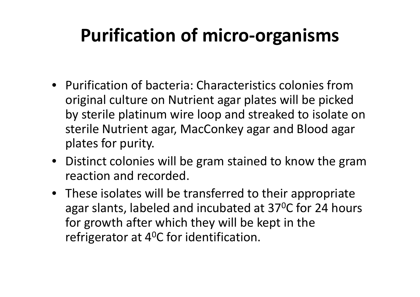#### **Purification of micro-organisms**

- Purification of bacteria: Characteristics colonies from original culture on Nutrient agar plates will be picked by sterile platinum wire loop and streaked to isolate on sterile Nutrient agar, MacConkey agar and Blood agar plates for purity.
- Distinct colonies will be gram stained to know the gram reaction and recorded.
- These isolates will be transferred to their appropriate agar slants, labeled and incubated at 37<sup>0</sup>C for 24 hours for growth after which they will be kept in the refrigerator at 4 $^0$ C for identification.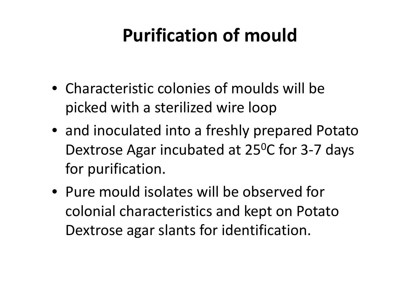### **Purification of mould**

- Characteristic colonies of moulds will be picked with a sterilized wire loop
- and inoculated into a freshly prepared Potato Dextrose Agar incubated at 25<sup>o</sup>C for 3-7 days for purification.
- Pure mould isolates will be observed for colonial characteristics and kept on Potato Dextrose agar slants for identification.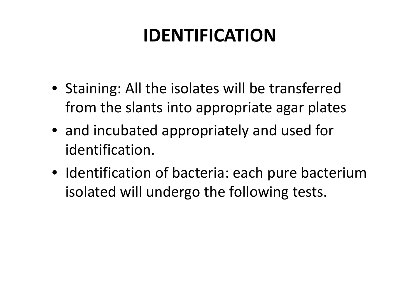### **IDENTIFICATION**

- Staining: All the isolates will be transferred from the slants into appropriate agar plates
- and incubated appropriately and used for identification.
- Identification of bacteria: each pure bacterium isolated will undergo the following tests.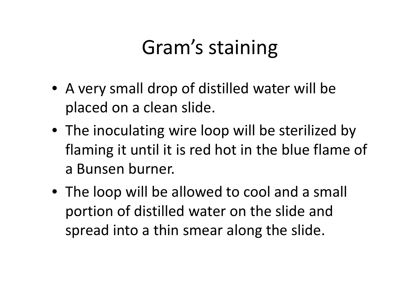## Gram's staining

- A very small drop of distilled water will be placed on a clean slide.
- The inoculating wire loop will be sterilized by flaming it until it is red hot in the blue flame ofa Bunsen burner.
- The loop will be allowed to cool and a small portion of distilled water on the slide and spread into a thin smear along the slide.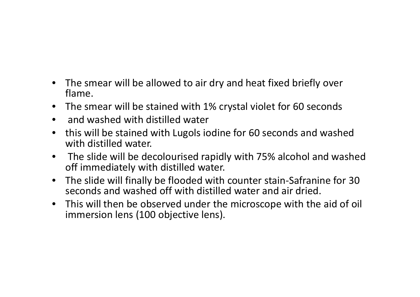- $\bullet$  The smear will be allowed to air dry and heat fixed briefly over flame.
- The smear will be stained with 1% crystal violet for 60 seconds
- and washed with distilled water
- $\bullet$  this will be stained with Lugols iodine for 60 seconds and washed with distilled water.
- $\bullet$  The slide will be decolourised rapidly with 75% alcohol and washed off immediately with distilled water.
- $\bullet$  The slide will finally be flooded with counter stain-Safranine for 30 seconds and washed off with distilled water and air dried.
- This will then be observed under the microscope with the aid of oil immersion lens (100 objective lens).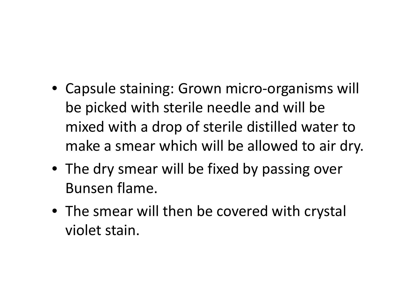- Capsule staining: Grown micro-organisms will be picked with sterile needle and will be mixed with a drop of sterile distilled water to make a smear which will be allowed to air dry.
- The dry smear will be fixed by passing over Bunsen flame.
- The smear will then be covered with crystal violet stain.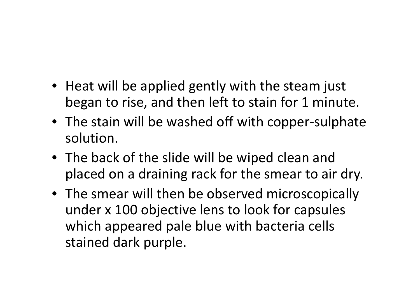- Heat will be applied gently with the steam just began to rise, and then left to stain for 1 minute.
- The stain will be washed off with copper-sulphatesolution.
- The back of the slide will be wiped clean and placed on a draining rack for the smear to air dry.
- The smear will then be observed microscopically under x 100 objective lens to look for capsules which appeared pale blue with bacteria cells stained dark purple.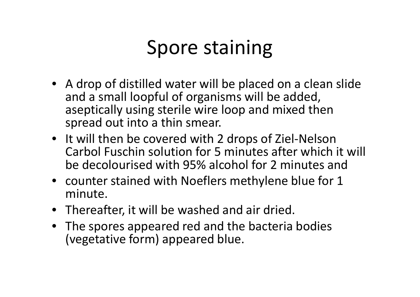### Spore staining

- A drop of distilled water will be placed on a clean slide and a small loopful of organisms will be added, aseptically using sterile wire loop and mixed then spread out into a thin smear.
- It will then be covered with 2 drops of Ziel-Nelson Carbol Fuschin solution for 5 minutes after which it will<br>he desels wissel with OFM alsolo lifes 2 minutes and be decolourised with 95% alcohol for 2 minutes and
- counter stained with Noeflers methylene blue for 1 minute.
- Thereafter, it will be washed and air dried.
- The spores appeared red and the bacteria bodies (vegetative form) appeared blue.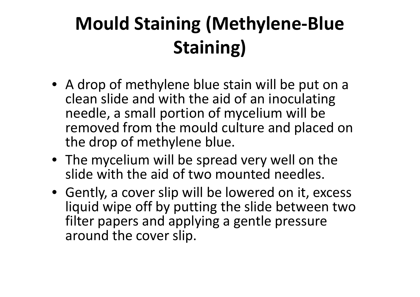## **Mould Staining (Methylene-Blue Staining)**

- A drop of methylene blue stain will be put on a clean slide and with the aid of an inoculating needle, a small portion of mycelium will be removed from the mould culture and placed on the drop of methylene blue.
- The mycelium will be spread very well on the slide with the aid of two mounted needles.
- Gently, a cover slip will be lowered on it, excess liquid wipe off by putting the slide between two filter papers and applying a gentle pressure around the cover slip.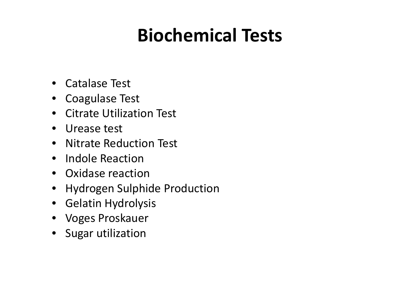#### **Biochemical Tests**

- Catalase Test
- Coagulase Test
- Citrate Utilization Test
- Urease test
- Nitrate Reduction Test
- Indole Reaction
- Oxidase reaction
- Hydrogen Sulphide Production
- Gelatin Hydrolysis
- Voges Proskauer
- Sugar utilization